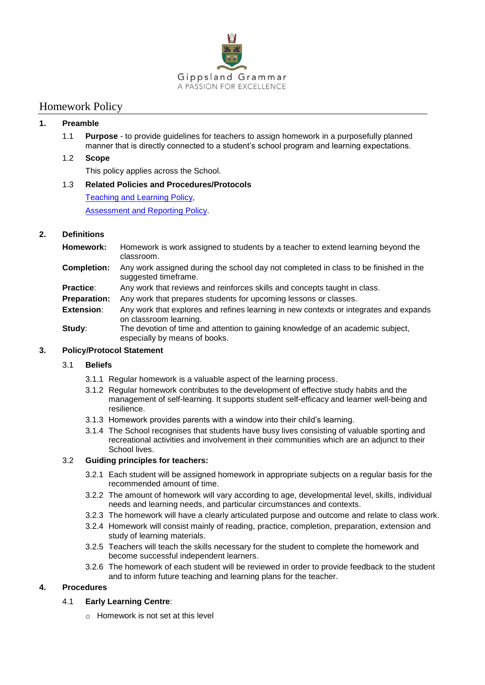

# Homework Policy

### **1. Preamble**

1.1 **Purpose** - to provide guidelines for teachers to assign homework in a purposefully planned manner that is directly connected to a student's school program and learning expectations.

### 1.2 **Scope**

This policy applies across the School.

### 1.3 **Related Policies and Procedures/Protocols**

[Teaching and Learning Policy,](http://portal/DocumentLibraries/Staff/School%20Forms%20and%20Policies%20for%20Staff/School%20Policies/Teaching%20and%20Learning%20Policy.pdf) [Assessment and Reporting Policy.](http://portal/DocumentLibraries/Staff/School%20Forms%20and%20Policies%20for%20Staff/School%20Policies/Assessment%20and%20Reporting%20Policy.pdf)

## **2. Definitions**

- **Homework:** Homework is work assigned to students by a teacher to extend learning beyond the classroom.
- **Completion:** Any work assigned during the school day not completed in class to be finished in the suggested timeframe.
- **Practice:** Any work that reviews and reinforces skills and concepts taught in class.
- **Preparation:** Any work that prepares students for upcoming lessons or classes.
- **Extension:** Any work that explores and refines learning in new contexts or integrates and expands on classroom learning.
- **Study:** The devotion of time and attention to gaining knowledge of an academic subject. especially by means of books.

### **3. Policy/Protocol Statement**

### 3.1 **Beliefs**

- 3.1.1 Regular homework is a valuable aspect of the learning process.
- 3.1.2 Regular homework contributes to the development of effective study habits and the management of self-learning. It supports student self-efficacy and learner well-being and resilience.
- 3.1.3 Homework provides parents with a window into their child's learning.
- 3.1.4 The School recognises that students have busy lives consisting of valuable sporting and recreational activities and involvement in their communities which are an adjunct to their School lives.

### 3.2 **Guiding principles for teachers:**

- 3.2.1 Each student will be assigned homework in appropriate subjects on a regular basis for the recommended amount of time.
- 3.2.2 The amount of homework will vary according to age, developmental level, skills, individual needs and learning needs, and particular circumstances and contexts.
- 3.2.3 The homework will have a clearly articulated purpose and outcome and relate to class work.
- 3.2.4 Homework will consist mainly of reading, practice, completion, preparation, extension and study of learning materials.
- 3.2.5 Teachers will teach the skills necessary for the student to complete the homework and become successful independent learners.
- 3.2.6 The homework of each student will be reviewed in order to provide feedback to the student and to inform future teaching and learning plans for the teacher.

## **4. Procedures**

### 4.1 **Early Learning Centre**:

 $\circ$  Homework is not set at this level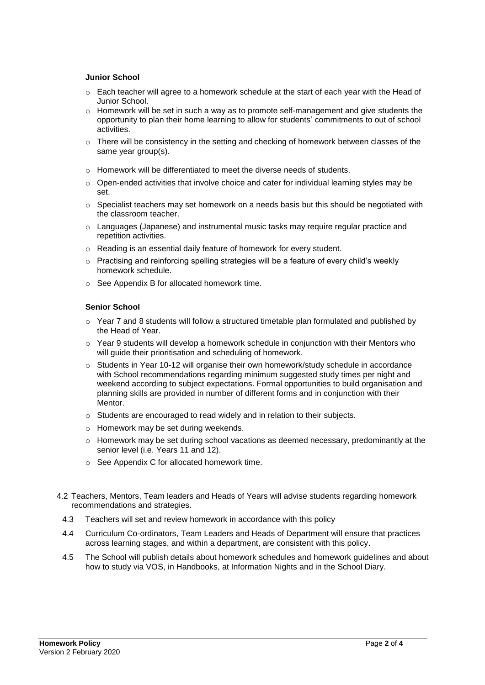### **Junior School**

- $\circ$  Each teacher will agree to a homework schedule at the start of each year with the Head of Junior School.
- $\circ$  Homework will be set in such a way as to promote self-management and give students the opportunity to plan their home learning to allow for students' commitments to out of school activities.
- $\circ$  There will be consistency in the setting and checking of homework between classes of the same year group(s).
- o Homework will be differentiated to meet the diverse needs of students.
- $\circ$  Open-ended activities that involve choice and cater for individual learning styles may be set.
- $\circ$  Specialist teachers may set homework on a needs basis but this should be negotiated with the classroom teacher.
- o Languages (Japanese) and instrumental music tasks may require regular practice and repetition activities.
- o Reading is an essential daily feature of homework for every student.
- o Practising and reinforcing spelling strategies will be a feature of every child's weekly homework schedule.
- o See Appendix B for allocated homework time.

#### **Senior School**

- $\circ$  Year 7 and 8 students will follow a structured timetable plan formulated and published by the Head of Year.
- $\circ$  Year 9 students will develop a homework schedule in conjunction with their Mentors who will guide their prioritisation and scheduling of homework.
- $\circ$  Students in Year 10-12 will organise their own homework/study schedule in accordance with School recommendations regarding minimum suggested study times per night and weekend according to subject expectations. Formal opportunities to build organisation and planning skills are provided in number of different forms and in conjunction with their Mentor.
- o Students are encouraged to read widely and in relation to their subjects.
- o Homework may be set during weekends.
- $\circ$  Homework may be set during school vacations as deemed necessary, predominantly at the senior level (i.e. Years 11 and 12).
- o See Appendix C for allocated homework time.
- 4.2 Teachers, Mentors, Team leaders and Heads of Years will advise students regarding homework recommendations and strategies.
	- 4.3 Teachers will set and review homework in accordance with this policy
	- 4.4 Curriculum Co-ordinators, Team Leaders and Heads of Department will ensure that practices across learning stages, and within a department, are consistent with this policy.
	- 4.5 The School will publish details about homework schedules and homework guidelines and about how to study via VOS, in Handbooks, at Information Nights and in the School Diary.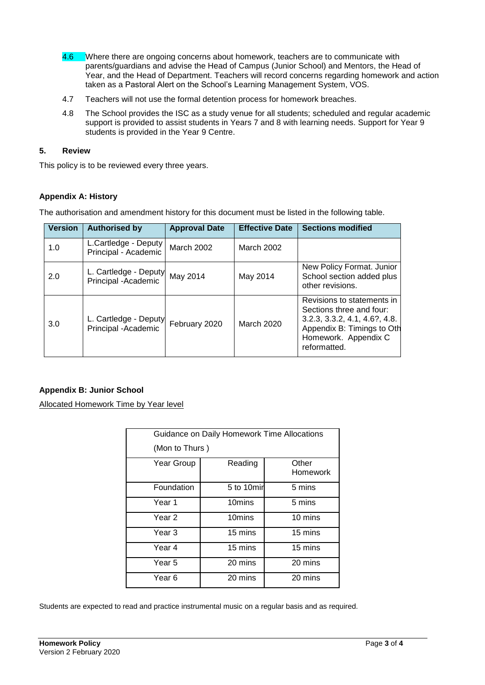- 4.6 Where there are ongoing concerns about homework, teachers are to communicate with parents/guardians and advise the Head of Campus (Junior School) and Mentors, the Head of Year, and the Head of Department. Teachers will record concerns regarding homework and action taken as a Pastoral Alert on the School's Learning Management System, VOS.
- 4.7 Teachers will not use the formal detention process for homework breaches.
- 4.8 The School provides the ISC as a study venue for all students; scheduled and regular academic support is provided to assist students in Years 7 and 8 with learning needs. Support for Year 9 students is provided in the Year 9 Centre.

#### **5. Review**

This policy is to be reviewed every three years.

### **Appendix A: History**

The authorisation and amendment history for this document must be listed in the following table.

| <b>Version</b> | <b>Authorised by</b>                          | <b>Approval Date</b> | <b>Effective Date</b> | <b>Sections modified</b>                                                                                                                                         |
|----------------|-----------------------------------------------|----------------------|-----------------------|------------------------------------------------------------------------------------------------------------------------------------------------------------------|
| 1.0            | L.Cartledge - Deputy<br>Principal - Academic  | <b>March 2002</b>    | March 2002            |                                                                                                                                                                  |
| 2.0            | L. Cartledge - Deputy<br>Principal - Academic | May 2014             | May 2014              | New Policy Format. Junior<br>School section added plus<br>other revisions.                                                                                       |
| 3.0            | L. Cartledge - Deputy<br>Principal -Academic  | February 2020        | <b>March 2020</b>     | Revisions to statements in<br>Sections three and four:<br>$3.2.3, 3.3.2, 4.1, 4.6?$ , 4.8.<br>Appendix B: Timings to Oth<br>Homework. Appendix C<br>reformatted. |

### **Appendix B: Junior School**

Allocated Homework Time by Year level

|                   | Guidance on Daily Homework Time Allocations |                   |  |  |  |  |  |  |
|-------------------|---------------------------------------------|-------------------|--|--|--|--|--|--|
|                   | (Mon to Thurs)                              |                   |  |  |  |  |  |  |
| Year Group        | Reading                                     | Other<br>Homework |  |  |  |  |  |  |
| Foundation        | 5 to 10min                                  | 5 mins            |  |  |  |  |  |  |
| Year 1            | 10mins                                      | 5 mins            |  |  |  |  |  |  |
| Year <sub>2</sub> | 10mins                                      | 10 mins           |  |  |  |  |  |  |
| Year 3            | 15 mins                                     | 15 mins           |  |  |  |  |  |  |
| Year 4            | 15 mins                                     | 15 mins           |  |  |  |  |  |  |
| Year 5            | 20 mins                                     | 20 mins           |  |  |  |  |  |  |
| Year 6            | 20 mins                                     | 20 mins           |  |  |  |  |  |  |

Students are expected to read and practice instrumental music on a regular basis and as required.